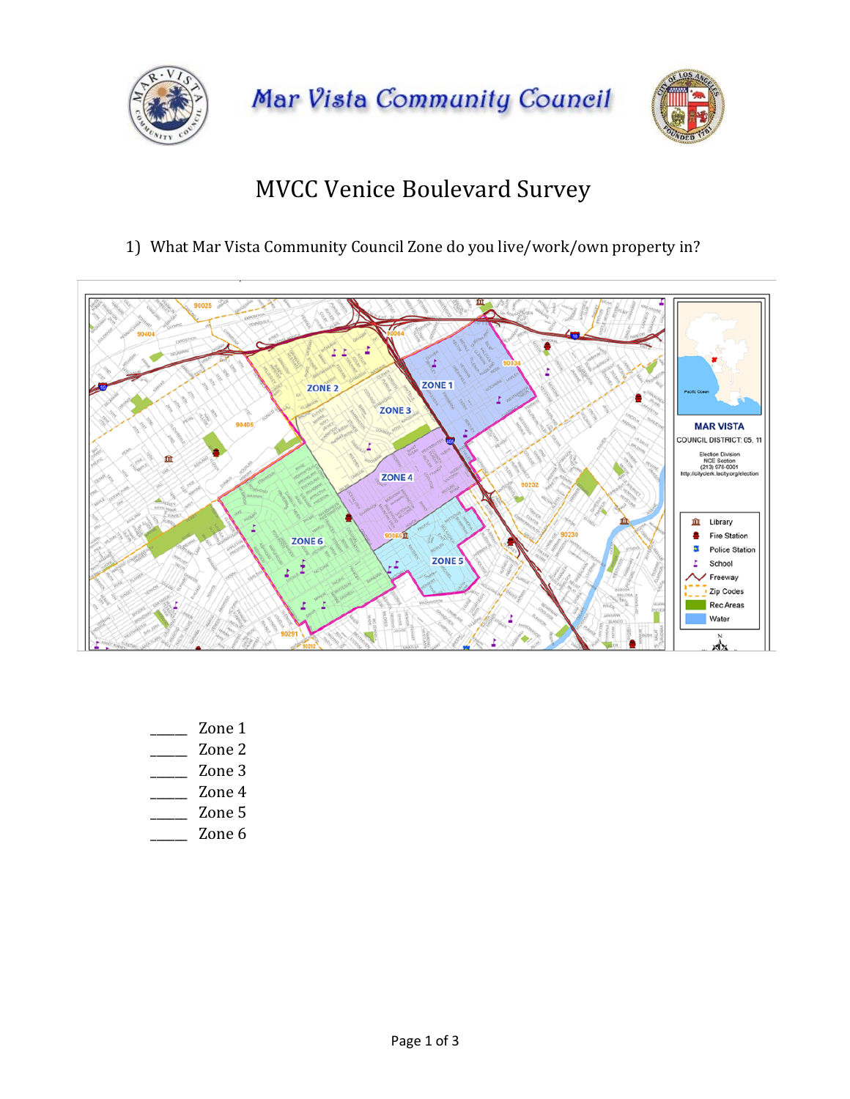

Mar Vista Community Council



## **MVCC Venice Boulevard Survey**

1) What Mar Vista Community Council Zone do you live/work/own property in?



- Zone 1
- Zone 2
- $\overline{\phantom{a}}$  Zone 3
- \_\_\_\_\_\_ Zone 4
- $\frac{200e}{200e}$
- $\overline{\phantom{a}}$  Zone 6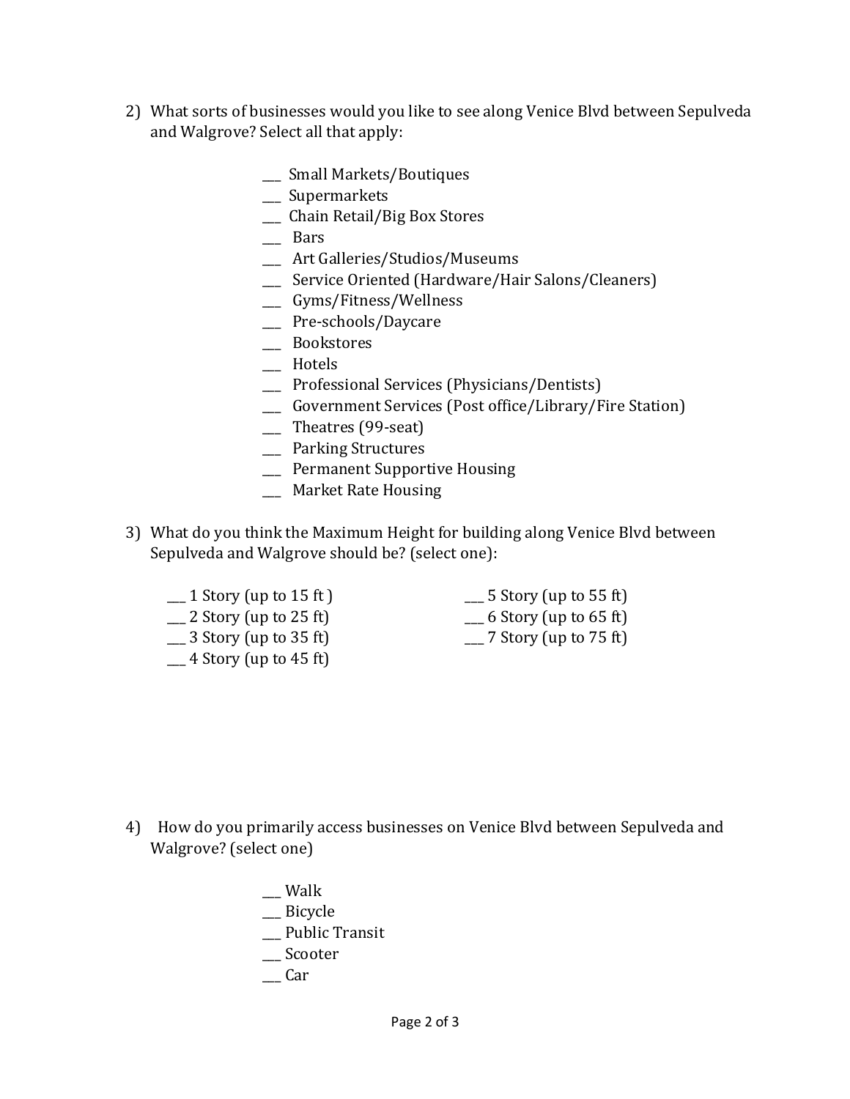- 2) What sorts of businesses would you like to see along Venice Blvd between Sepulveda and Walgrove? Select all that apply:
	- \_\_ Small Markets/Boutiques
	- \_\_\_ Supermarkets
	- \_\_\_ Chain Retail/Big Box Stores
	- \_\_\_ Bars
	- \_\_\_ Art Galleries/Studios/Museums
	- \_\_\_ Service Oriented (Hardware/Hair Salons/Cleaners)
	- \_\_\_ Gyms/Fitness/Wellness
	- \_\_\_ Pre-schools/Daycare
	- \_\_\_ Bookstores
	- \_\_\_ Hotels
	- \_\_ Professional Services (Physicians/Dentists)
	- \_\_ Government Services (Post office/Library/Fire Station)
	- \_\_\_ Theatres (99-seat)
	- \_\_\_ Parking Structures
	- \_\_\_ Permanent Supportive Housing
	- \_\_\_ Market Rate Housing
- 3) What do you think the Maximum Height for building along Venice Blvd between Sepulveda and Walgrove should be? (select one):
	- **1** Story (up to 15 ft) **1** 5 Story (up to 55 ft)
	- **1** 2 Story (up to 25 ft) **1** 16 Story (up to 65 ft)
	-
	- $-4$  Story (up to 45 ft)
- 
- 
- <u>1</u> 3 Story (up to 35 ft) 25 Story (up to 75 ft)

- 4) How do you primarily access businesses on Venice Blyd between Sepulveda and Walgrove? (select one)
	- $\equiv$  Walk \_\_ Bicycle \_\_ Public Transit \_\_\_ Scooter \_\_\_ Car